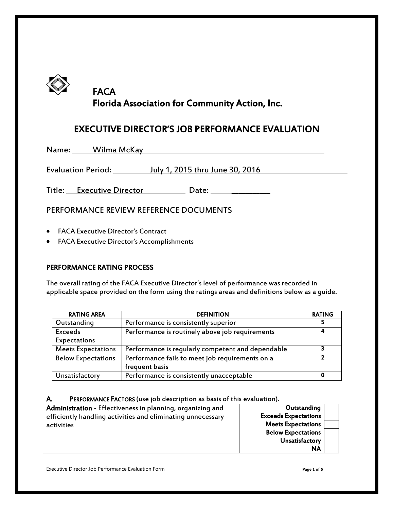

# **FACA** Florida Association for Community Action, Inc.

## EXECUTIVE DIRECTOR'S JOB PERFORMANCE EVALUATION

Name: Wilma McKay Name: Wilma McKay

Evaluation Period: July 1, 2015 thru June 30, 2016

Title: Executive Director Date: Date: Date:

## PERFORMANCE REVIEW REFERENCE DOCUMENTS

- FACA Executive Director's Contract
- FACA Executive Director's Accomplishments

### PERFORMANCE RATING PROCESS

The overall rating of the FACA Executive Director's level of performance was recorded in applicable space provided on the form using the ratings areas and definitions below as a guide.

| <b>RATING AREA</b>        | <b>DEFINITION</b>                                 | <b>RATING</b> |
|---------------------------|---------------------------------------------------|---------------|
| Outstanding               | Performance is consistently superior              |               |
| <b>Exceeds</b>            | Performance is routinely above job requirements   |               |
| Expectations              |                                                   |               |
| <b>Meets Expectations</b> | Performance is regularly competent and dependable |               |
| <b>Below Expectations</b> | Performance fails to meet job requirements on a   |               |
|                           | frequent basis                                    |               |
| Unsatisfactory            | Performance is consistently unacceptable          | o             |

A. PERFORMANCE FACTORS (use job description as basis of this evaluation).

| Administration - Effectiveness in planning, organizing and  | Outstanding                 |  |
|-------------------------------------------------------------|-----------------------------|--|
| efficiently handling activities and eliminating unnecessary | <b>Exceeds Expectations</b> |  |
| activities                                                  | <b>Meets Expectations</b>   |  |
|                                                             | <b>Below Expectations</b>   |  |
|                                                             | Unsatisfactory              |  |
|                                                             | ΝA                          |  |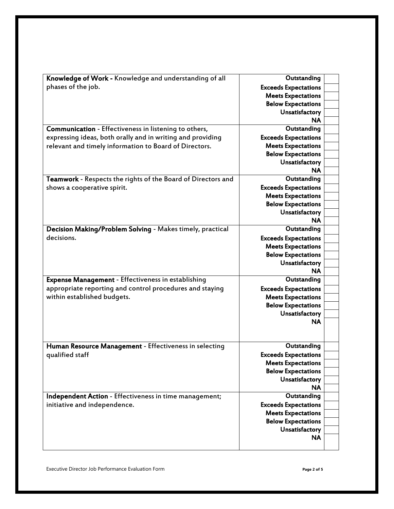| Knowledge of Work - Knowledge and understanding of all       | Outstanding                                              |
|--------------------------------------------------------------|----------------------------------------------------------|
| phases of the job.                                           | <b>Exceeds Expectations</b>                              |
|                                                              | <b>Meets Expectations</b>                                |
|                                                              | <b>Below Expectations</b>                                |
|                                                              | Unsatisfactory                                           |
|                                                              | ΝA                                                       |
| Communication - Effectiveness in listening to others,        | Outstanding                                              |
| expressing ideas, both orally and in writing and providing   | <b>Exceeds Expectations</b>                              |
| relevant and timely information to Board of Directors.       | <b>Meets Expectations</b>                                |
|                                                              | <b>Below Expectations</b>                                |
|                                                              | Unsatisfactory                                           |
|                                                              | <b>NA</b>                                                |
| Teamwork - Respects the rights of the Board of Directors and | Outstanding                                              |
| shows a cooperative spirit.                                  | <b>Exceeds Expectations</b>                              |
|                                                              | <b>Meets Expectations</b>                                |
|                                                              | <b>Below Expectations</b>                                |
|                                                              | Unsatisfactory                                           |
|                                                              | <b>NA</b>                                                |
| Decision Making/Problem Solving - Makes timely, practical    | Outstanding                                              |
| decisions.                                                   | <b>Exceeds Expectations</b>                              |
|                                                              | <b>Meets Expectations</b>                                |
|                                                              | <b>Below Expectations</b>                                |
|                                                              | Unsatisfactory                                           |
|                                                              | <b>NA</b>                                                |
| Expense Management - Effectiveness in establishing           | Outstanding                                              |
| appropriate reporting and control procedures and staying     | <b>Exceeds Expectations</b>                              |
| within established budgets.                                  | <b>Meets Expectations</b>                                |
|                                                              | <b>Below Expectations</b>                                |
|                                                              | Unsatisfactory                                           |
|                                                              | NA                                                       |
|                                                              |                                                          |
| Human Resource Management - Effectiveness in selecting       | Outstanding                                              |
| qualified staff                                              | <b>Exceeds Expectations</b>                              |
|                                                              | <b>Meets Expectations</b>                                |
|                                                              | <b>Below Expectations</b>                                |
|                                                              | Unsatisfactory                                           |
|                                                              | <b>NA</b>                                                |
| Independent Action - Effectiveness in time management;       | Outstanding                                              |
|                                                              |                                                          |
| initiative and independence.                                 | <b>Exceeds Expectations</b><br><b>Meets Expectations</b> |
|                                                              | <b>Below Expectations</b>                                |
|                                                              |                                                          |
|                                                              | Unsatisfactory<br><b>NA</b>                              |
|                                                              |                                                          |
|                                                              |                                                          |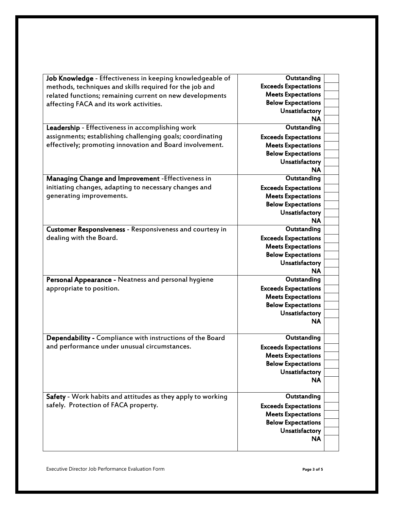| Job Knowledge - Effectiveness in keeping knowledgeable of   | Outstanding                 |
|-------------------------------------------------------------|-----------------------------|
| methods, techniques and skills required for the job and     | <b>Exceeds Expectations</b> |
| related functions; remaining current on new developments    | <b>Meets Expectations</b>   |
| affecting FACA and its work activities.                     | <b>Below Expectations</b>   |
|                                                             | Unsatisfactory              |
|                                                             | <b>NA</b>                   |
| Leadership - Effectiveness in accomplishing work            | Outstanding                 |
| assignments; establishing challenging goals; coordinating   | <b>Exceeds Expectations</b> |
| effectively; promoting innovation and Board involvement.    | <b>Meets Expectations</b>   |
|                                                             | <b>Below Expectations</b>   |
|                                                             | Unsatisfactory              |
|                                                             | <b>NA</b>                   |
| Managing Change and Improvement - Effectiveness in          | Outstanding                 |
| initiating changes, adapting to necessary changes and       | <b>Exceeds Expectations</b> |
| generating improvements.                                    | <b>Meets Expectations</b>   |
|                                                             | <b>Below Expectations</b>   |
|                                                             | Unsatisfactory              |
|                                                             | ΝA                          |
| Customer Responsiveness - Responsiveness and courtesy in    | Outstanding                 |
| dealing with the Board.                                     | <b>Exceeds Expectations</b> |
|                                                             | <b>Meets Expectations</b>   |
|                                                             | <b>Below Expectations</b>   |
|                                                             | Unsatisfactory              |
|                                                             | <b>NA</b>                   |
| Personal Appearance - Neatness and personal hygiene         | Outstanding                 |
| appropriate to position.                                    | <b>Exceeds Expectations</b> |
|                                                             | <b>Meets Expectations</b>   |
|                                                             | <b>Below Expectations</b>   |
|                                                             | Unsatisfactory              |
|                                                             | <b>NA</b>                   |
|                                                             |                             |
| Dependability - Compliance with instructions of the Board   | Outstanding                 |
| and performance under unusual circumstances.                | <b>Exceeds Expectations</b> |
|                                                             | <b>Meets Expectations</b>   |
|                                                             | <b>Below Expectations</b>   |
|                                                             | Unsatisfactory              |
|                                                             | <b>NA</b>                   |
|                                                             |                             |
| Safety - Work habits and attitudes as they apply to working | Outstanding                 |
| safely. Protection of FACA property.                        | <b>Exceeds Expectations</b> |
|                                                             | <b>Meets Expectations</b>   |
|                                                             | <b>Below Expectations</b>   |
|                                                             | Unsatisfactory              |
|                                                             | <b>NA</b>                   |
|                                                             |                             |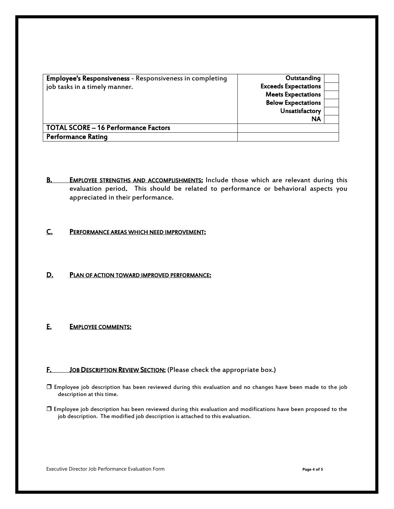| <b>Employee's Responsiveness - Responsiveness in completing</b><br>job tasks in a timely manner. | Outstanding<br><b>Exceeds Expectations</b><br><b>Meets Expectations</b><br><b>Below Expectations</b><br>Unsatisfactory<br><b>NA</b> |  |
|--------------------------------------------------------------------------------------------------|-------------------------------------------------------------------------------------------------------------------------------------|--|
| <b>TOTAL SCORE - 16 Performance Factors</b>                                                      |                                                                                                                                     |  |
| <b>Performance Rating</b>                                                                        |                                                                                                                                     |  |

B. EMPLOYEE STRENGTHS AND ACCOMPLISHMENTS: Include those which are relevant during this evaluation period. This should be related to performance or behavioral aspects you appreciated in their performance.

#### C. PERFORMANCE AREAS WHICH NEED IMPROVEMENT:

#### D. PLAN OF ACTION TOWARD IMPROVED PERFORMANCE:

#### E. EMPLOYEE COMMENTS:

#### F. JOB DESCRIPTION REVIEW SECTION: (Please check the appropriate box.)

- Employee job description has been reviewed during this evaluation and no changes have been made to the job description at this time.
- Employee job description has been reviewed during this evaluation and modifications have been proposed to the job description. The modified job description is attached to this evaluation.